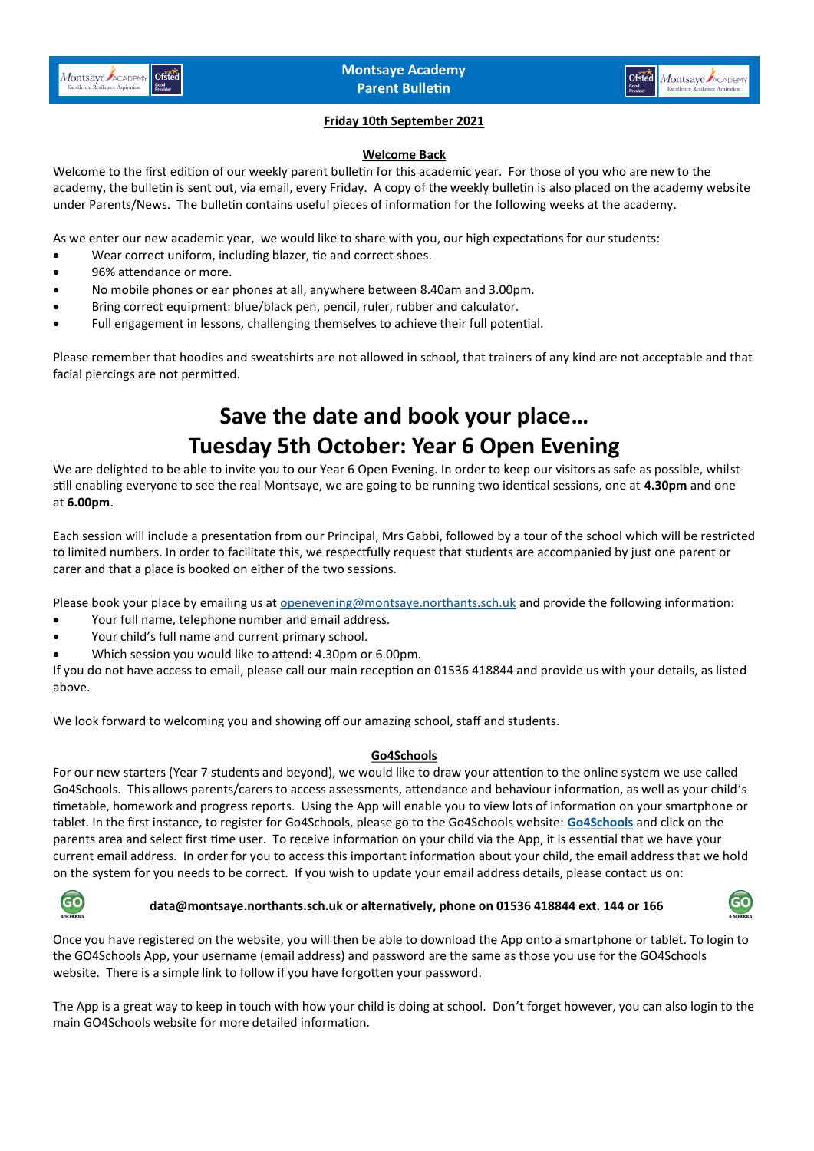

### **Friday 10th September 2021**

#### **Welcome Back**

Welcome to the first edition of our weekly parent bulletin for this academic year. For those of you who are new to the academy, the bulletin is sent out, via email, every Friday. A copy of the weekly bulletin is also placed on the academy website under Parents/News. The bulletin contains useful pieces of information for the following weeks at the academy.

As we enter our new academic year, we would like to share with you, our high expectations for our students:

- Wear correct uniform, including blazer, tie and correct shoes.
- 96% attendance or more.
- No mobile phones or ear phones at all, anywhere between 8.40am and 3.00pm.
- Bring correct equipment: blue/black pen, pencil, ruler, rubber and calculator.
- Full engagement in lessons, challenging themselves to achieve their full potential.

Please remember that hoodies and sweatshirts are not allowed in school, that trainers of any kind are not acceptable and that facial piercings are not permitted.

# **Save the date and book your place… Tuesday 5th October: Year 6 Open Evening**

We are delighted to be able to invite you to our Year 6 Open Evening. In order to keep our visitors as safe as possible, whilst still enabling everyone to see the real Montsaye, we are going to be running two identical sessions, one at **4.30pm** and one at **6.00pm**.

Each session will include a presentation from our Principal, Mrs Gabbi, followed by a tour of the school which will be restricted to limited numbers. In order to facilitate this, we respectfully request that students are accompanied by just one parent or carer and that a place is booked on either of the two sessions.

Please book your place by emailing us at [openevening@montsaye.northants.sch.uk](mailto:openevening@montsaye.northants.sch.uk) and provide the following information:

- Your full name, telephone number and email address.
- Your child's full name and current primary school.
- Which session you would like to attend: 4.30pm or 6.00pm.

If you do not have access to email, please call our main reception on 01536 418844 and provide us with your details, as listed above.

We look forward to welcoming you and showing off our amazing school, staff and students.

#### **Go4Schools**

For our new starters (Year 7 students and beyond), we would like to draw your attention to the online system we use called Go4Schools. This allows parents/carers to access assessments, attendance and behaviour information, as well as your child's timetable, homework and progress reports. Using the App will enable you to view lots of information on your smartphone or tablet. In the first instance, to register for Go4Schools, please go to the Go4Schools website: **[Go4Schools](https://www.go4schools.com/)** and click on the parents area and select first time user. To receive information on your child via the App, it is essential that we have your current email address. In order for you to access this important information about your child, the email address that we hold on the system for you needs to be correct. If you wish to update your email address details, please contact us on:



#### **data@montsaye.northants.sch.uk or alternatively, phone on 01536 418844 ext. 144 or 166**



Once you have registered on the website, you will then be able to download the App onto a smartphone or tablet. To login to the GO4Schools App, your username (email address) and password are the same as those you use for the GO4Schools website. There is a simple link to follow if you have forgotten your password.

The App is a great way to keep in touch with how your child is doing at school. Don't forget however, you can also login to the main GO4Schools website for more detailed information.